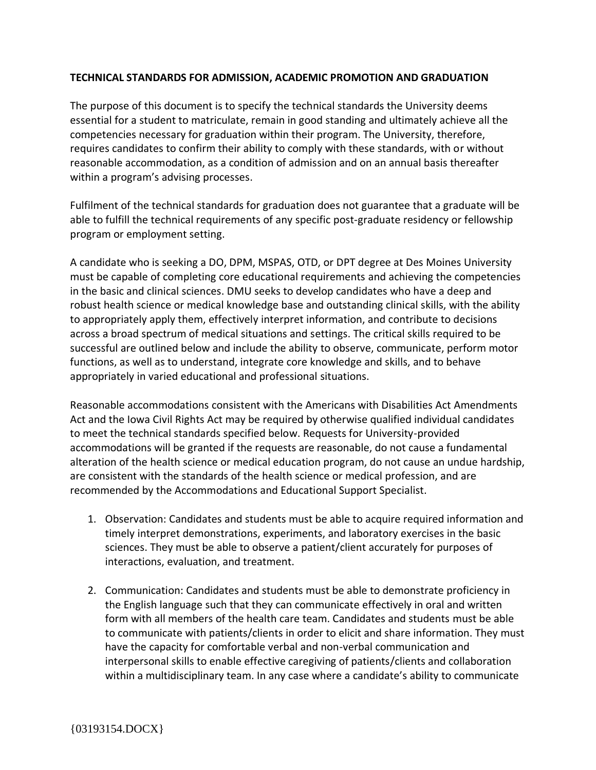## **TECHNICAL STANDARDS FOR ADMISSION, ACADEMIC PROMOTION AND GRADUATION**

The purpose of this document is to specify the technical standards the University deems essential for a student to matriculate, remain in good standing and ultimately achieve all the competencies necessary for graduation within their program. The University, therefore, requires candidates to confirm their ability to comply with these standards, with or without reasonable accommodation, as a condition of admission and on an annual basis thereafter within a program's advising processes.

Fulfilment of the technical standards for graduation does not guarantee that a graduate will be able to fulfill the technical requirements of any specific post-graduate residency or fellowship program or employment setting.

A candidate who is seeking a DO, DPM, MSPAS, OTD, or DPT degree at Des Moines University must be capable of completing core educational requirements and achieving the competencies in the basic and clinical sciences. DMU seeks to develop candidates who have a deep and robust health science or medical knowledge base and outstanding clinical skills, with the ability to appropriately apply them, effectively interpret information, and contribute to decisions across a broad spectrum of medical situations and settings. The critical skills required to be successful are outlined below and include the ability to observe, communicate, perform motor functions, as well as to understand, integrate core knowledge and skills, and to behave appropriately in varied educational and professional situations.

Reasonable accommodations consistent with the Americans with Disabilities Act Amendments Act and the Iowa Civil Rights Act may be required by otherwise qualified individual candidates to meet the technical standards specified below. Requests for University-provided accommodations will be granted if the requests are reasonable, do not cause a fundamental alteration of the health science or medical education program, do not cause an undue hardship, are consistent with the standards of the health science or medical profession, and are recommended by the Accommodations and Educational Support Specialist.

- 1. Observation: Candidates and students must be able to acquire required information and timely interpret demonstrations, experiments, and laboratory exercises in the basic sciences. They must be able to observe a patient/client accurately for purposes of interactions, evaluation, and treatment.
- 2. Communication: Candidates and students must be able to demonstrate proficiency in the English language such that they can communicate effectively in oral and written form with all members of the health care team. Candidates and students must be able to communicate with patients/clients in order to elicit and share information. They must have the capacity for comfortable verbal and non-verbal communication and interpersonal skills to enable effective caregiving of patients/clients and collaboration within a multidisciplinary team. In any case where a candidate's ability to communicate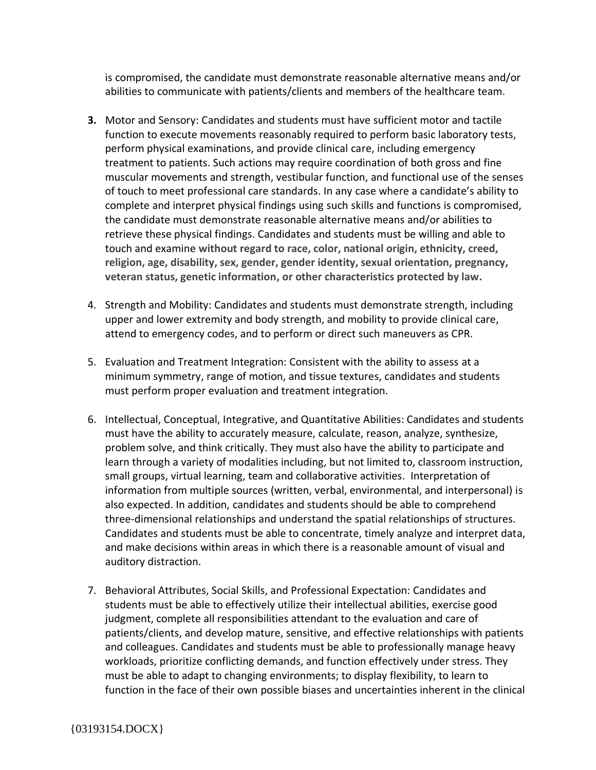is compromised, the candidate must demonstrate reasonable alternative means and/or abilities to communicate with patients/clients and members of the healthcare team.

- **3.** Motor and Sensory: Candidates and students must have sufficient motor and tactile function to execute movements reasonably required to perform basic laboratory tests, perform physical examinations, and provide clinical care, including emergency treatment to patients. Such actions may require coordination of both gross and fine muscular movements and strength, vestibular function, and functional use of the senses of touch to meet professional care standards. In any case where a candidate's ability to complete and interpret physical findings using such skills and functions is compromised, the candidate must demonstrate reasonable alternative means and/or abilities to retrieve these physical findings. Candidates and students must be willing and able to touch and examine **without regard to race, color, national origin, ethnicity, creed, religion, age, disability, sex, gender, gender identity, sexual orientation, pregnancy, veteran status, genetic information, or other characteristics protected by law.**
- 4. Strength and Mobility: Candidates and students must demonstrate strength, including upper and lower extremity and body strength, and mobility to provide clinical care, attend to emergency codes, and to perform or direct such maneuvers as CPR.
- 5. Evaluation and Treatment Integration: Consistent with the ability to assess at a minimum symmetry, range of motion, and tissue textures, candidates and students must perform proper evaluation and treatment integration.
- 6. Intellectual, Conceptual, Integrative, and Quantitative Abilities: Candidates and students must have the ability to accurately measure, calculate, reason, analyze, synthesize, problem solve, and think critically. They must also have the ability to participate and learn through a variety of modalities including, but not limited to, classroom instruction, small groups, virtual learning, team and collaborative activities. Interpretation of information from multiple sources (written, verbal, environmental, and interpersonal) is also expected. In addition, candidates and students should be able to comprehend three-dimensional relationships and understand the spatial relationships of structures. Candidates and students must be able to concentrate, timely analyze and interpret data, and make decisions within areas in which there is a reasonable amount of visual and auditory distraction.
- 7. Behavioral Attributes, Social Skills, and Professional Expectation: Candidates and students must be able to effectively utilize their intellectual abilities, exercise good judgment, complete all responsibilities attendant to the evaluation and care of patients/clients, and develop mature, sensitive, and effective relationships with patients and colleagues. Candidates and students must be able to professionally manage heavy workloads, prioritize conflicting demands, and function effectively under stress. They must be able to adapt to changing environments; to display flexibility, to learn to function in the face of their own possible biases and uncertainties inherent in the clinical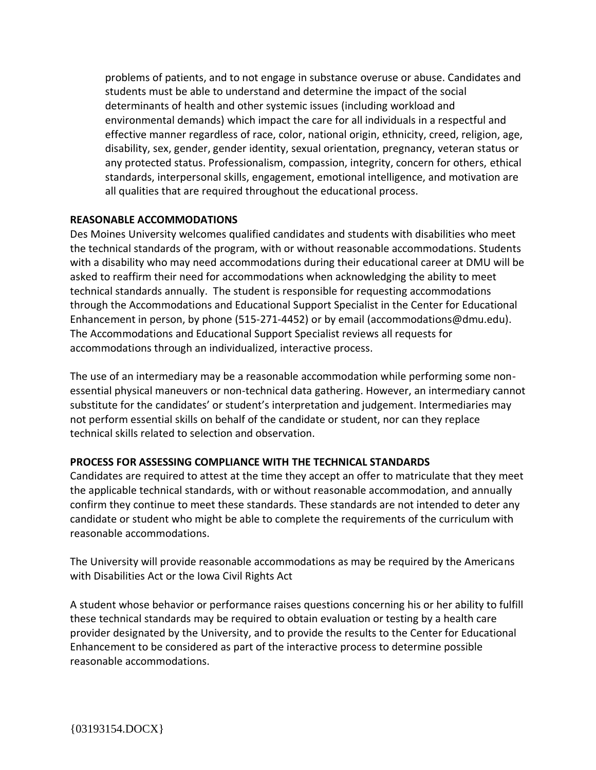problems of patients, and to not engage in substance overuse or abuse. Candidates and students must be able to understand and determine the impact of the social determinants of health and other systemic issues (including workload and environmental demands) which impact the care for all individuals in a respectful and effective manner regardless of race, color, national origin, ethnicity, creed, religion, age, disability, sex, gender, gender identity, sexual orientation, pregnancy, veteran status or any protected status. Professionalism, compassion, integrity, concern for others, ethical standards, interpersonal skills, engagement, emotional intelligence, and motivation are all qualities that are required throughout the educational process.

## **REASONABLE ACCOMMODATIONS**

Des Moines University welcomes qualified candidates and students with disabilities who meet the technical standards of the program, with or without reasonable accommodations. Students with a disability who may need accommodations during their educational career at DMU will be asked to reaffirm their need for accommodations when acknowledging the ability to meet technical standards annually. The student is responsible for requesting accommodations through the Accommodations and Educational Support Specialist in the Center for Educational Enhancement in person, by phone (515-271-4452) or by email (accommodations@dmu.edu). The Accommodations and Educational Support Specialist reviews all requests for accommodations through an individualized, interactive process.

The use of an intermediary may be a reasonable accommodation while performing some nonessential physical maneuvers or non-technical data gathering. However, an intermediary cannot substitute for the candidates' or student's interpretation and judgement. Intermediaries may not perform essential skills on behalf of the candidate or student, nor can they replace technical skills related to selection and observation.

## **PROCESS FOR ASSESSING COMPLIANCE WITH THE TECHNICAL STANDARDS**

Candidates are required to attest at the time they accept an offer to matriculate that they meet the applicable technical standards, with or without reasonable accommodation, and annually confirm they continue to meet these standards. These standards are not intended to deter any candidate or student who might be able to complete the requirements of the curriculum with reasonable accommodations.

The University will provide reasonable accommodations as may be required by the Americans with Disabilities Act or the Iowa Civil Rights Act

A student whose behavior or performance raises questions concerning his or her ability to fulfill these technical standards may be required to obtain evaluation or testing by a health care provider designated by the University, and to provide the results to the Center for Educational Enhancement to be considered as part of the interactive process to determine possible reasonable accommodations.